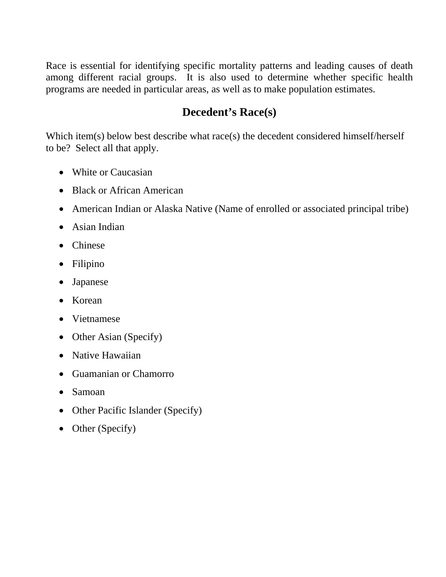Race is essential for identifying specific mortality patterns and leading causes of death among different racial groups. It is also used to determine whether specific health programs are needed in particular areas, as well as to make population estimates.

## **Decedent's Race(s)**

Which item(s) below best describe what race(s) the decedent considered himself/herself to be? Select all that apply.

- White or Caucasian
- Black or African American
- American Indian or Alaska Native (Name of enrolled or associated principal tribe)
- Asian Indian
- Chinese
- Filipino
- Japanese
- Korean
- Vietnamese
- Other Asian (Specify)
- Native Hawaiian
- Guamanian or Chamorro
- Samoan
- Other Pacific Islander (Specify)
- Other (Specify)